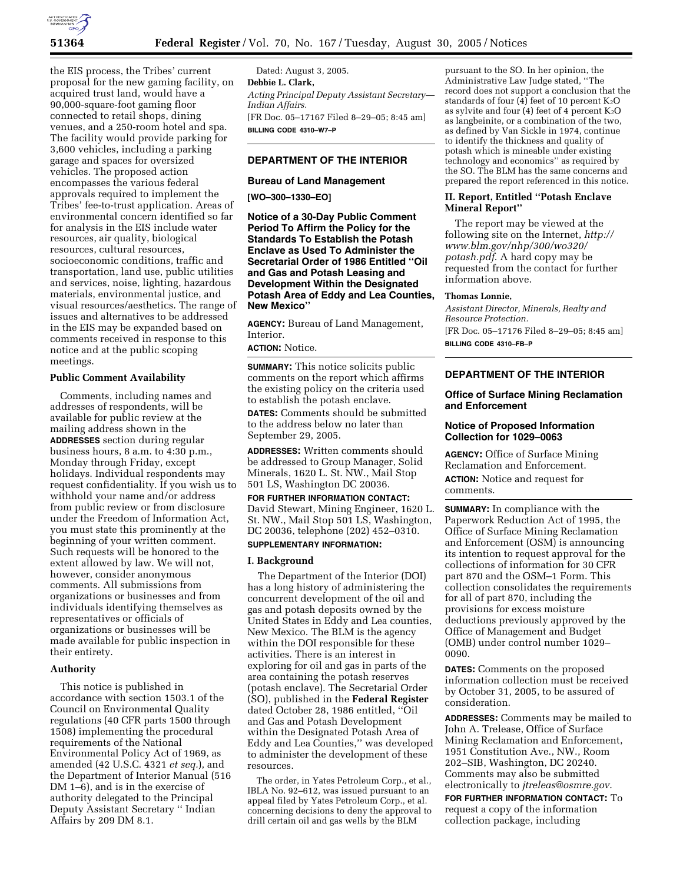

the EIS process, the Tribes' current proposal for the new gaming facility, on acquired trust land, would have a 90,000-square-foot gaming floor connected to retail shops, dining venues, and a 250-room hotel and spa. The facility would provide parking for 3,600 vehicles, including a parking garage and spaces for oversized vehicles. The proposed action encompasses the various federal approvals required to implement the Tribes' fee-to-trust application. Areas of environmental concern identified so far for analysis in the EIS include water resources, air quality, biological resources, cultural resources, socioeconomic conditions, traffic and transportation, land use, public utilities and services, noise, lighting, hazardous materials, environmental justice, and visual resources/aesthetics. The range of issues and alternatives to be addressed in the EIS may be expanded based on comments received in response to this notice and at the public scoping meetings.

### **Public Comment Availability**

Comments, including names and addresses of respondents, will be available for public review at the mailing address shown in the **ADDRESSES** section during regular business hours, 8 a.m. to 4:30 p.m., Monday through Friday, except holidays. Individual respondents may request confidentiality. If you wish us to withhold your name and/or address from public review or from disclosure under the Freedom of Information Act, you must state this prominently at the beginning of your written comment. Such requests will be honored to the extent allowed by law. We will not, however, consider anonymous comments. All submissions from organizations or businesses and from individuals identifying themselves as representatives or officials of organizations or businesses will be made available for public inspection in their entirety.

### **Authority**

This notice is published in accordance with section 1503.1 of the Council on Environmental Quality regulations (40 CFR parts 1500 through 1508) implementing the procedural requirements of the National Environmental Policy Act of 1969, as amended (42 U.S.C. 4321 *et seq.*), and the Department of Interior Manual (516 DM 1–6), and is in the exercise of authority delegated to the Principal Deputy Assistant Secretary '' Indian Affairs by 209 DM 8.1.

Dated: August 3, 2005. **Debbie L. Clark,**  *Acting Principal Deputy Assistant Secretary— Indian Affairs.*  [FR Doc. 05–17167 Filed 8–29–05; 8:45 am] **BILLING CODE 4310–W7–P** 

### **DEPARTMENT OF THE INTERIOR**

### **Bureau of Land Management**

**[WO–300–1330–EO]** 

**Notice of a 30-Day Public Comment Period To Affirm the Policy for the Standards To Establish the Potash Enclave as Used To Administer the Secretarial Order of 1986 Entitled ''Oil and Gas and Potash Leasing and Development Within the Designated Potash Area of Eddy and Lea Counties, New Mexico''**

**AGENCY:** Bureau of Land Management, Interior.

**ACTION:** Notice.

**SUMMARY:** This notice solicits public comments on the report which affirms the existing policy on the criteria used to establish the potash enclave.

**DATES:** Comments should be submitted to the address below no later than September 29, 2005.

**ADDRESSES:** Written comments should be addressed to Group Manager, Solid Minerals, 1620 L. St. NW., Mail Stop 501 LS, Washington DC 20036.

### **FOR FURTHER INFORMATION CONTACT:**

David Stewart, Mining Engineer, 1620 L. St. NW., Mail Stop 501 LS, Washington, DC 20036, telephone (202) 452–0310.

# **SUPPLEMENTARY INFORMATION:**

### **I. Background**

The Department of the Interior (DOI) has a long history of administering the concurrent development of the oil and gas and potash deposits owned by the United States in Eddy and Lea counties, New Mexico. The BLM is the agency within the DOI responsible for these activities. There is an interest in exploring for oil and gas in parts of the area containing the potash reserves (potash enclave). The Secretarial Order (SO), published in the **Federal Register**  dated October 28, 1986 entitled, ''Oil and Gas and Potash Development within the Designated Potash Area of Eddy and Lea Counties,'' was developed to administer the development of these resources.

The order, in Yates Petroleum Corp., et al., IBLA No. 92–612, was issued pursuant to an appeal filed by Yates Petroleum Corp., et al. concerning decisions to deny the approval to drill certain oil and gas wells by the BLM

pursuant to the SO. In her opinion, the Administrative Law Judge stated, ''The record does not support a conclusion that the standards of four  $\left(4\right)$  feet of 10 percent K<sub>2</sub>O as sylvite and four (4) feet of 4 percent  $K_2O$ as langbeinite, or a combination of the two, as defined by Van Sickle in 1974, continue to identify the thickness and quality of potash which is mineable under existing technology and economics'' as required by the SO. The BLM has the same concerns and prepared the report referenced in this notice.

### **II. Report, Entitled ''Potash Enclave Mineral Report''**

The report may be viewed at the following site on the Internet, *http:// www.blm.gov/nhp/300/wo320/ potash.pdf*. A hard copy may be requested from the contact for further information above.

### **Thomas Lonnie,**

*Assistant Director, Minerals, Realty and Resource Protection.*  [FR Doc. 05–17176 Filed 8–29–05; 8:45 am] **BILLING CODE 4310–FB–P** 

## **DEPARTMENT OF THE INTERIOR**

### **Office of Surface Mining Reclamation and Enforcement**

### **Notice of Proposed Information Collection for 1029–0063**

**AGENCY:** Office of Surface Mining Reclamation and Enforcement. **ACTION:** Notice and request for comments.

**SUMMARY:** In compliance with the Paperwork Reduction Act of 1995, the Office of Surface Mining Reclamation and Enforcement (OSM) is announcing its intention to request approval for the collections of information for 30 CFR part 870 and the OSM–1 Form. This collection consolidates the requirements for all of part 870, including the provisions for excess moisture deductions previously approved by the Office of Management and Budget (OMB) under control number 1029– 0090.

**DATES:** Comments on the proposed information collection must be received by October 31, 2005, to be assured of consideration.

**ADDRESSES:** Comments may be mailed to John A. Trelease, Office of Surface Mining Reclamation and Enforcement, 1951 Constitution Ave., NW., Room 202–SIB, Washington, DC 20240. Comments may also be submitted electronically to *jtreleas@osmre.gov*.

**FOR FURTHER INFORMATION CONTACT:** To request a copy of the information collection package, including